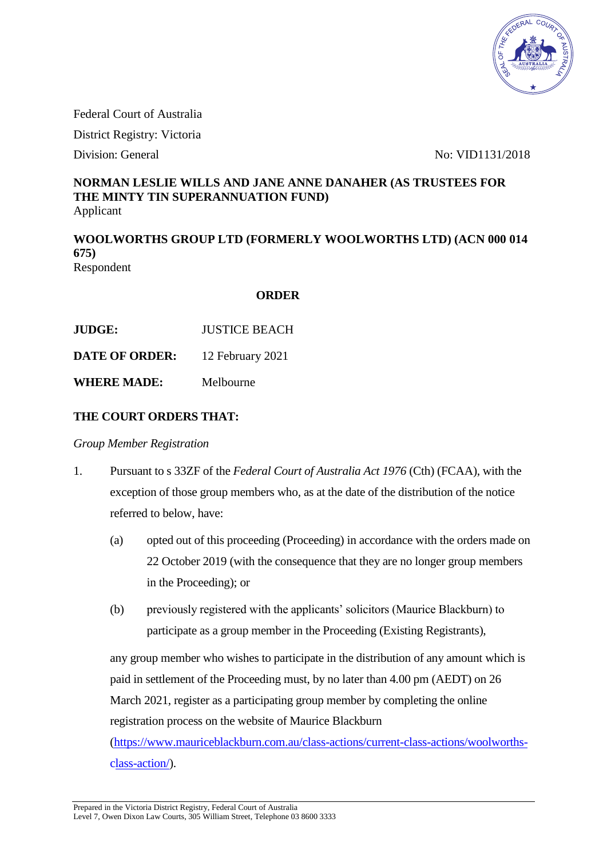

Federal Court of Australia

District Registry: Victoria

Division: General No: VID1131/2018

#### **NORMAN LESLIE WILLS AND JANE ANNE DANAHER (AS TRUSTEES FOR THE MINTY TIN SUPERANNUATION FUND)** Applicant

**WOOLWORTHS GROUP LTD (FORMERLY WOOLWORTHS LTD) (ACN 000 014 675)** Respondent

#### **ORDER**

| <b>JUDGE:</b>         | <b>JUSTICE BEACH</b> |
|-----------------------|----------------------|
| <b>DATE OF ORDER:</b> | 12 February 2021     |

**WHERE MADE:** Melbourne

# **THE COURT ORDERS THAT:**

*Group Member Registration* 

- 1. Pursuant to s 33ZF of the *Federal Court of Australia Act 1976* (Cth) (FCAA), with the exception of those group members who, as at the date of the distribution of the notice referred to below, have:
	- (a) opted out of this proceeding (Proceeding) in accordance with the orders made on 22 October 2019 (with the consequence that they are no longer group members in the Proceeding); or
	- (b) previously registered with the applicants' solicitors (Maurice Blackburn) to participate as a group member in the Proceeding (Existing Registrants),

 any group member who wishes to participate in the distribution of any amount which is paid in settlement of the Proceeding must, by no later than 4.00 pm (AEDT) on 26 March 2021, register as a participating group member by completing the online registration process on the website of Maurice Blackburn

 [\(https://www.mauriceblackburn.com.au/class-actions/current-class-actions/woolworths](https://www.mauriceblackburn.com.au/class-actions/current-class-actions/woolworths-%09class-action/)  [class-action/\)](https://www.mauriceblackburn.com.au/class-actions/current-class-actions/woolworths-%09class-action/).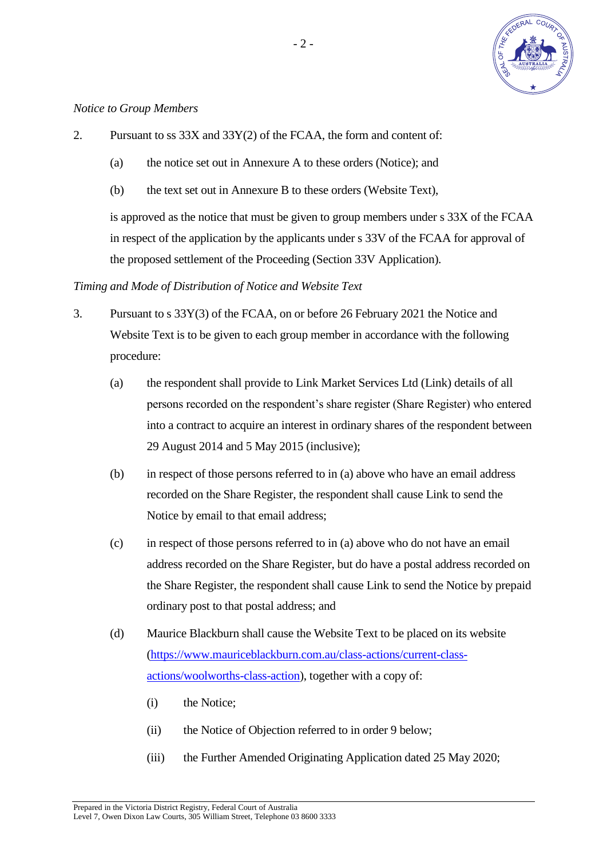

#### *Notice to Group Members*

- 2. Pursuant to ss 33X and 33Y(2) of the FCAA, the form and content of:
	- (a) the notice set out in Annexure A to these orders (Notice); and
	- (b) the text set out in Annexure B to these orders (Website Text),

 is approved as the notice that must be given to group members under s 33X of the FCAA in respect of the application by the applicants under s 33V of the FCAA for approval of the proposed settlement of the Proceeding (Section 33V Application).

#### *Timing and Mode of Distribution of Notice and Website Text*

- 3. Pursuant to s 33Y(3) of the FCAA, on or before 26 February 2021 the Notice and Website Text is to be given to each group member in accordance with the following procedure:
	- (a) the respondent shall provide to Link Market Services Ltd (Link) details of all persons recorded on the respondent's share register (Share Register) who entered into a contract to acquire an interest in ordinary shares of the respondent between 29 August 2014 and 5 May 2015 (inclusive);
	- (b) in respect of those persons referred to in (a) above who have an email address recorded on the Share Register, the respondent shall cause Link to send the Notice by email to that email address;
	- (c) in respect of those persons referred to in (a) above who do not have an email address recorded on the Share Register, but do have a postal address recorded on the Share Register, the respondent shall cause Link to send the Notice by prepaid ordinary post to that postal address; and
	- (d) Maurice Blackburn shall cause the Website Text to be placed on its website [\(https://www.mauriceblackburn.com.au/class-actions/current-class](https://www.mauriceblackburn.com.au/class-actions/current-class-)  actions/woolworths-class-action), together with a copy of:
		- (i) the Notice;
		- (ii) the Notice of Objection referred to in order 9 below;
		- (iii) the Further Amended Originating Application dated 25 May 2020;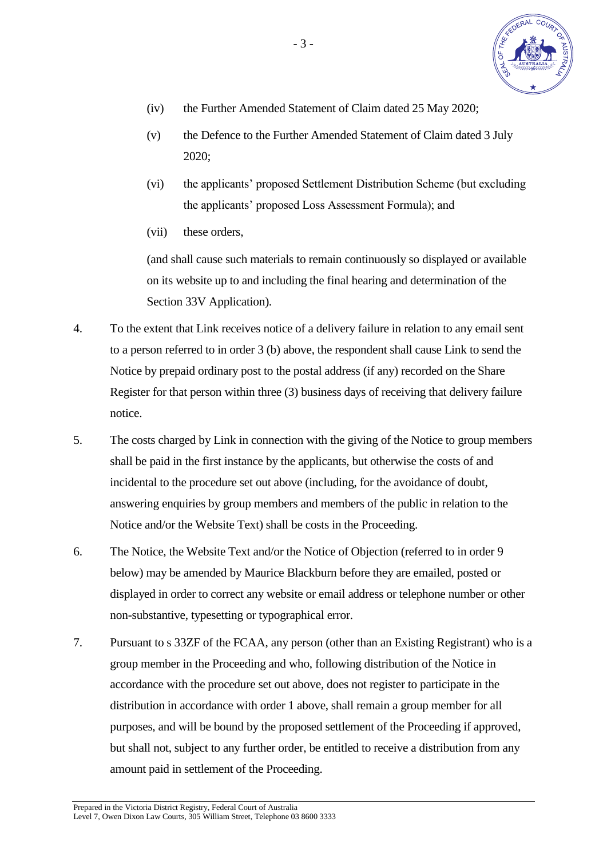

- (iv) the Further Amended Statement of Claim dated 25 May 2020;
- (v) the Defence to the Further Amended Statement of Claim dated 3 July 2020;
- (vi) the applicants' proposed Settlement Distribution Scheme (but excluding the applicants' proposed Loss Assessment Formula); and
- (vii) these orders,

 (and shall cause such materials to remain continuously so displayed or available on its website up to and including the final hearing and determination of the Section 33V Application).

- 4. To the extent that Link receives notice of a delivery failure in relation to any email sent to a person referred to in order 3 (b) above, the respondent shall cause Link to send the Notice by prepaid ordinary post to the postal address (if any) recorded on the Share Register for that person within three (3) business days of receiving that delivery failure notice.
- 5. The costs charged by Link in connection with the giving of the Notice to group members shall be paid in the first instance by the applicants, but otherwise the costs of and incidental to the procedure set out above (including, for the avoidance of doubt, answering enquiries by group members and members of the public in relation to the Notice and/or the Website Text) shall be costs in the Proceeding.
- 6. The Notice, the Website Text and/or the Notice of Objection (referred to in order 9 below) may be amended by Maurice Blackburn before they are emailed, posted or displayed in order to correct any website or email address or telephone number or other non-substantive, typesetting or typographical error.
- 7. Pursuant to s 33ZF of the FCAA, any person (other than an Existing Registrant) who is a group member in the Proceeding and who, following distribution of the Notice in accordance with the procedure set out above, does not register to participate in the distribution in accordance with order 1 above, shall remain a group member for all purposes, and will be bound by the proposed settlement of the Proceeding if approved, but shall not, subject to any further order, be entitled to receive a distribution from any amount paid in settlement of the Proceeding.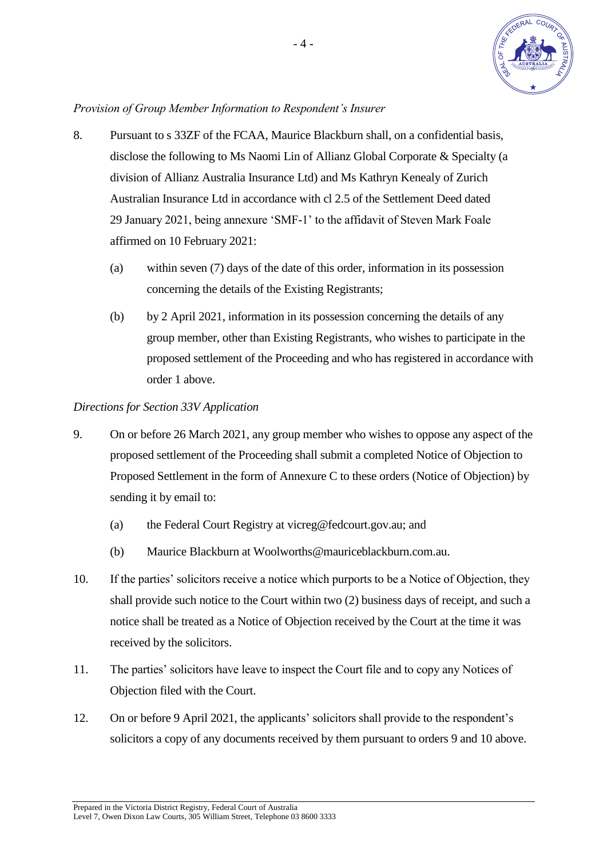

# *Provision of Group Member Information to Respondent's Insurer*

- 8. Pursuant to s 33ZF of the FCAA, Maurice Blackburn shall, on a confidential basis, disclose the following to Ms Naomi Lin of Allianz Global Corporate & Specialty (a division of Allianz Australia Insurance Ltd) and Ms Kathryn Kenealy of Zurich Australian Insurance Ltd in accordance with cl 2.5 of the Settlement Deed dated 29 January 2021, being annexure 'SMF-1' to the affidavit of Steven Mark Foale affirmed on 10 February 2021:
	- (a) within seven (7) days of the date of this order, information in its possession concerning the details of the Existing Registrants;
	- (b) by 2 April 2021, information in its possession concerning the details of any group member, other than Existing Registrants, who wishes to participate in the proposed settlement of the Proceeding and who has registered in accordance with order 1 above.

# *Directions for Section 33V Application*

- 9. On or before 26 March 2021, any group member who wishes to oppose any aspect of the proposed settlement of the Proceeding shall submit a completed Notice of Objection to Proposed Settlement in the form of Annexure C to these orders (Notice of Objection) by sending it by email to:
	- (a) the Federal Court Registry at vicreg@fedcourt.gov.au; and
	- (b) Maurice Blackburn at Woolworths@mauriceblackburn.com.au.
- 10. If the parties' solicitors receive a notice which purports to be a Notice of Objection, they shall provide such notice to the Court within two (2) business days of receipt, and such a notice shall be treated as a Notice of Objection received by the Court at the time it was received by the solicitors.
- 11. The parties' solicitors have leave to inspect the Court file and to copy any Notices of Objection filed with the Court.
- 12. On or before 9 April 2021, the applicants' solicitors shall provide to the respondent's solicitors a copy of any documents received by them pursuant to orders 9 and 10 above.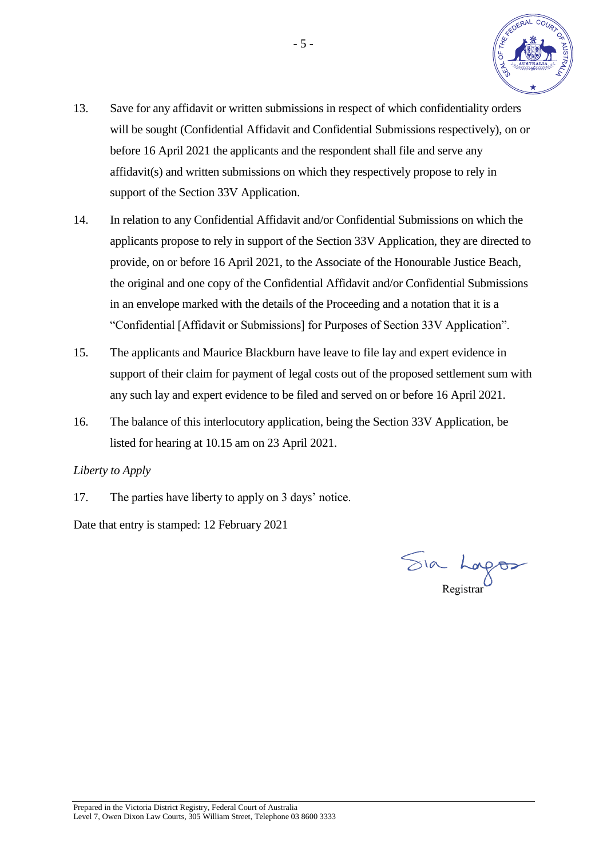

- 13. Save for any affidavit or written submissions in respect of which confidentiality orders will be sought (Confidential Affidavit and Confidential Submissions respectively), on or before 16 April 2021 the applicants and the respondent shall file and serve any affidavit(s) and written submissions on which they respectively propose to rely in support of the Section 33V Application.
- 14. In relation to any Confidential Affidavit and/or Confidential Submissions on which the applicants propose to rely in support of the Section 33V Application, they are directed to provide, on or before 16 April 2021, to the Associate of the Honourable Justice Beach, the original and one copy of the Confidential Affidavit and/or Confidential Submissions in an envelope marked with the details of the Proceeding and a notation that it is a "Confidential [Affidavit or Submissions] for Purposes of Section 33V Application".
- 15. The applicants and Maurice Blackburn have leave to file lay and expert evidence in support of their claim for payment of legal costs out of the proposed settlement sum with any such lay and expert evidence to be filed and served on or before 16 April 2021.
- 16. The balance of this interlocutory application, being the Section 33V Application, be listed for hearing at 10.15 am on 23 April 2021.

# *Liberty to Apply*

17. The parties have liberty to apply on 3 days' notice.

Date that entry is stamped: 12 February 2021

Sia Lagos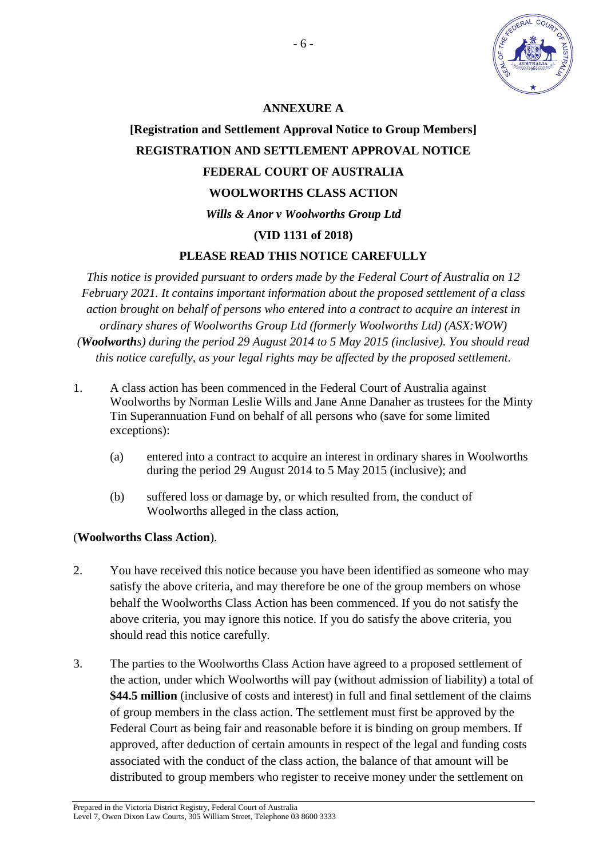

# **ANNEXURE A**

# **[Registration and Settlement Approval Notice to Group Members] REGISTRATION AND SETTLEMENT APPROVAL NOTICE FEDERAL COURT OF AUSTRALIA WOOLWORTHS CLASS ACTION**  *Wills & Anor v Woolworths Group Ltd*  **(VID 1131 of 2018) PLEASE READ THIS NOTICE CAREFULLY**

*This notice is provided pursuant to orders made by the Federal Court of Australia on 12* 

*February 2021. It contains important information about the proposed settlement of a class action brought on behalf of persons who entered into a contract to acquire an interest in ordinary shares of Woolworths Group Ltd (formerly Woolworths Ltd) (ASX:WOW) (Woolworths) during the period 29 August 2014 to 5 May 2015 (inclusive). You should read this notice carefully, as your legal rights may be affected by the proposed settlement.* 

- 1. A class action has been commenced in the Federal Court of Australia against Woolworths by Norman Leslie Wills and Jane Anne Danaher as trustees for the Minty Tin Superannuation Fund on behalf of all persons who (save for some limited exceptions):
	- (a) entered into a contract to acquire an interest in ordinary shares in Woolworths during the period 29 August 2014 to 5 May 2015 (inclusive); and
	- (b) suffered loss or damage by, or which resulted from, the conduct of Woolworths alleged in the class action,

# (**Woolworths Class Action**).

- 2. You have received this notice because you have been identified as someone who may satisfy the above criteria, and may therefore be one of the group members on whose behalf the Woolworths Class Action has been commenced. If you do not satisfy the above criteria, you may ignore this notice. If you do satisfy the above criteria, you should read this notice carefully.
- 3. The parties to the Woolworths Class Action have agreed to a proposed settlement of the action, under which Woolworths will pay (without admission of liability) a total of **\$44.5 million** (inclusive of costs and interest) in full and final settlement of the claims of group members in the class action. The settlement must first be approved by the Federal Court as being fair and reasonable before it is binding on group members. If approved, after deduction of certain amounts in respect of the legal and funding costs associated with the conduct of the class action, the balance of that amount will be distributed to group members who register to receive money under the settlement on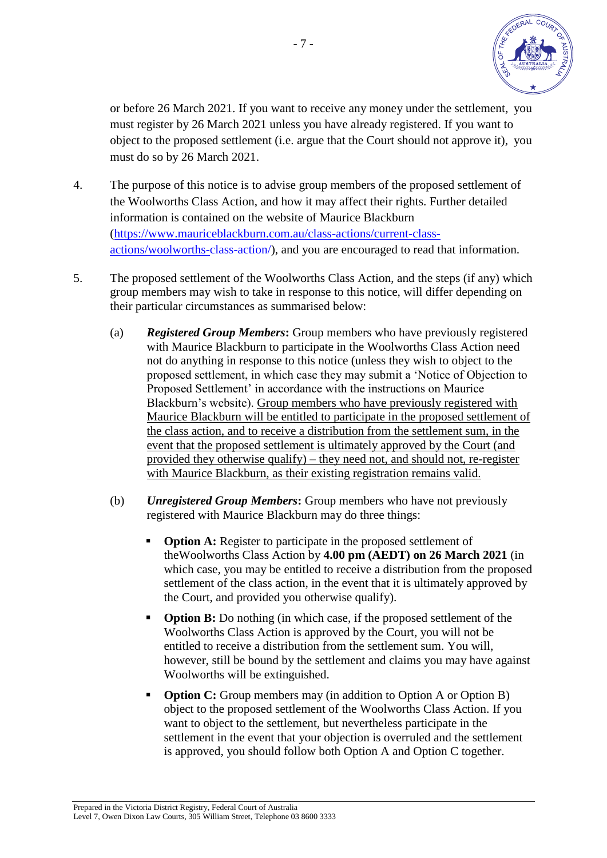

 or before 26 March 2021. If you want to receive any money under the settlement, you must register by 26 March 2021 unless you have already registered. If you want to object to the proposed settlement (i.e. argue that the Court should not approve it), you must do so by 26 March 2021.

- 4. The purpose of this notice is to advise group members of the proposed settlement of the Woolworths Class Action, and how it may affect their rights. Further detailed information is contained on the website of Maurice Blackburn [\(https://www.mauriceblackburn.com.au/class-actions/current-class](https://www.mauriceblackburn.com.au/class-actions/current-class-%09actions/woolworths-)  [actions/woolworths-c](https://www.mauriceblackburn.com.au/class-actions/current-class-%09actions/woolworths-)lass-action/), and you are encouraged to read that information.
- 5. The proposed settlement of the Woolworths Class Action, and the steps (if any) which group members may wish to take in response to this notice, will differ depending on their particular circumstances as summarised below:
	- (a) *Registered Group Members***:** Group members who have previously registered with Maurice Blackburn to participate in the Woolworths Class Action need not do anything in response to this notice (unless they wish to object to the proposed settlement, in which case they may submit a 'Notice of Objection to Proposed Settlement' in accordance with the instructions on Maurice Blackburn's website). Group members who have previously registered with Maurice Blackburn will be entitled to participate in the proposed settlement of the class action, and to receive a distribution from the settlement sum, in the event that the proposed settlement is ultimately approved by the Court (and provided they otherwise qualify) – they need not, and should not, re-register with Maurice Blackburn, as their existing registration remains valid.
	- (b) *Unregistered Group Members***:** Group members who have not previously registered with Maurice Blackburn may do three things:
		- **Option A:** Register to participate in the proposed settlement of theWoolworths Class Action by **4.00 pm (AEDT) on 26 March 2021** (in which case, you may be entitled to receive a distribution from the proposed settlement of the class action, in the event that it is ultimately approved by the Court, and provided you otherwise qualify).
		- **Option B:** Do nothing (in which case, if the proposed settlement of the Woolworths Class Action is approved by the Court, you will not be entitled to receive a distribution from the settlement sum. You will, however, still be bound by the settlement and claims you may have against Woolworths will be extinguished.
		- **Option C:** Group members may (in addition to Option A or Option B) object to the proposed settlement of the Woolworths Class Action. If you want to object to the settlement, but nevertheless participate in the settlement in the event that your objection is overruled and the settlement is approved, you should follow both Option A and Option C together.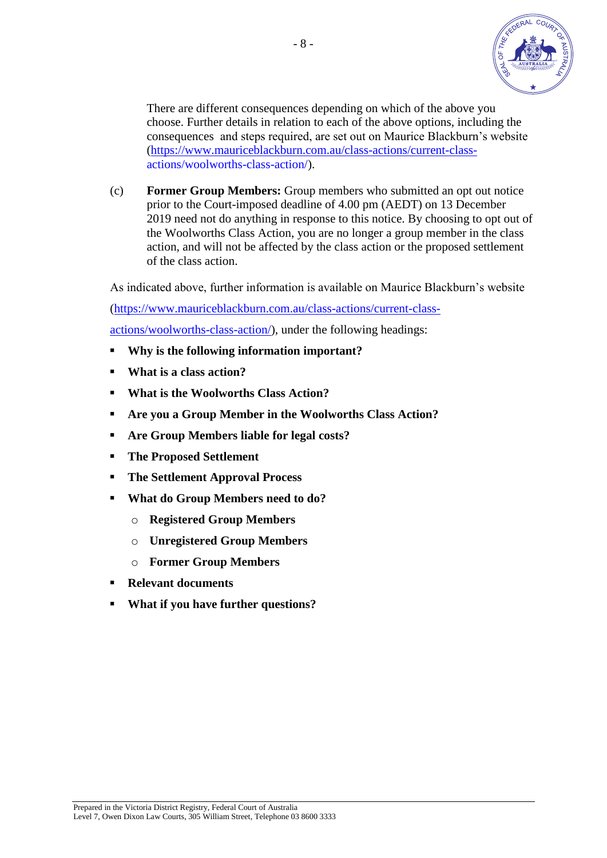

 There are different consequences depending on which of the above you choose. Further details in relation to each of the above options, including the consequences and steps required, are set out on Maurice Blackburn's website [\(https://www.mauriceblackburn.com.au/class-actions/current-class](https://www.mauriceblackburn.com.au/class-actions/current-class-) actions/woolworths-class-action/).

 (c) **Former Group Members:** Group members who submitted an opt out notice prior to the Court-imposed deadline of 4.00 pm (AEDT) on 13 December 2019 need not do anything in response to this notice. By choosing to opt out of the Woolworths Class Action, you are no longer a group member in the class action, and will not be affected by the class action or the proposed settlement of the class action.

As indicated above, further information is available on Maurice Blackburn's website

[\(https://www.mauriceblackburn.com.au/class-actions/current-class-](https://www.mauriceblackburn.com.au/class-actions/current-class-%09actions/woolworths-class-action/)

 [actions/woolworths-class-action/\)](https://www.mauriceblackburn.com.au/class-actions/current-class-%09actions/woolworths-class-action/), under the following headings:

- **Why is the following information important?**
- **What is a class action?**
- **What is the Woolworths Class Action?**
- **Are you a Group Member in the Woolworths Class Action?**
- **Are Group Members liable for legal costs?**
- **The Proposed Settlement**
- **The Settlement Approval Process**
- **What do Group Members need to do?** 
	- o **Registered Group Members**
	- o **Unregistered Group Members**
	- o **Former Group Members**
- **Relevant documents**
- **What if you have further questions?**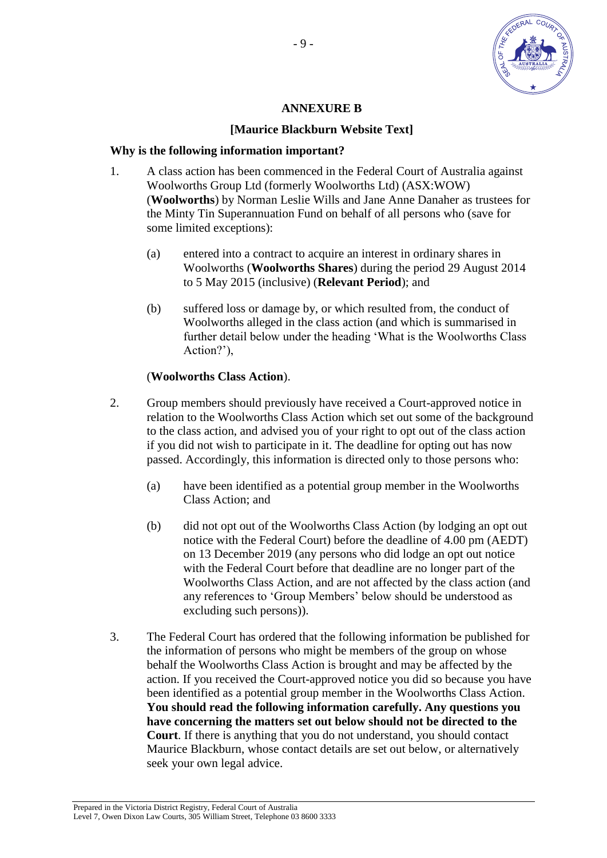

#### **ANNEXURE B**

# **[Maurice Blackburn Website Text]**

#### **Why is the following information important?**

- 1. A class action has been commenced in the Federal Court of Australia against Woolworths Group Ltd (formerly Woolworths Ltd) (ASX:WOW) (**Woolworths**) by Norman Leslie Wills and Jane Anne Danaher as trustees for the Minty Tin Superannuation Fund on behalf of all persons who (save for some limited exceptions):
	- (a) entered into a contract to acquire an interest in ordinary shares in Woolworths (**Woolworths Shares**) during the period 29 August 2014 to 5 May 2015 (inclusive) (**Relevant Period**); and
	- (b) suffered loss or damage by, or which resulted from, the conduct of Woolworths alleged in the class action (and which is summarised in further detail below under the heading 'What is the Woolworths Class Action?'),

#### (**Woolworths Class Action**).

- 2. Group members should previously have received a Court-approved notice in relation to the Woolworths Class Action which set out some of the background to the class action, and advised you of your right to opt out of the class action if you did not wish to participate in it. The deadline for opting out has now passed. Accordingly, this information is directed only to those persons who:
	- (a) have been identified as a potential group member in the Woolworths Class Action; and
	- (b) did not opt out of the Woolworths Class Action (by lodging an opt out notice with the Federal Court) before the deadline of 4.00 pm (AEDT) on 13 December 2019 (any persons who did lodge an opt out notice with the Federal Court before that deadline are no longer part of the Woolworths Class Action, and are not affected by the class action (and any references to 'Group Members' below should be understood as excluding such persons)).
- 3. The Federal Court has ordered that the following information be published for the information of persons who might be members of the group on whose behalf the Woolworths Class Action is brought and may be affected by the action. If you received the Court-approved notice you did so because you have been identified as a potential group member in the Woolworths Class Action. **You should read the following information carefully. Any questions you have concerning the matters set out below should not be directed to the Court**. If there is anything that you do not understand, you should contact Maurice Blackburn, whose contact details are set out below, or alternatively seek your own legal advice.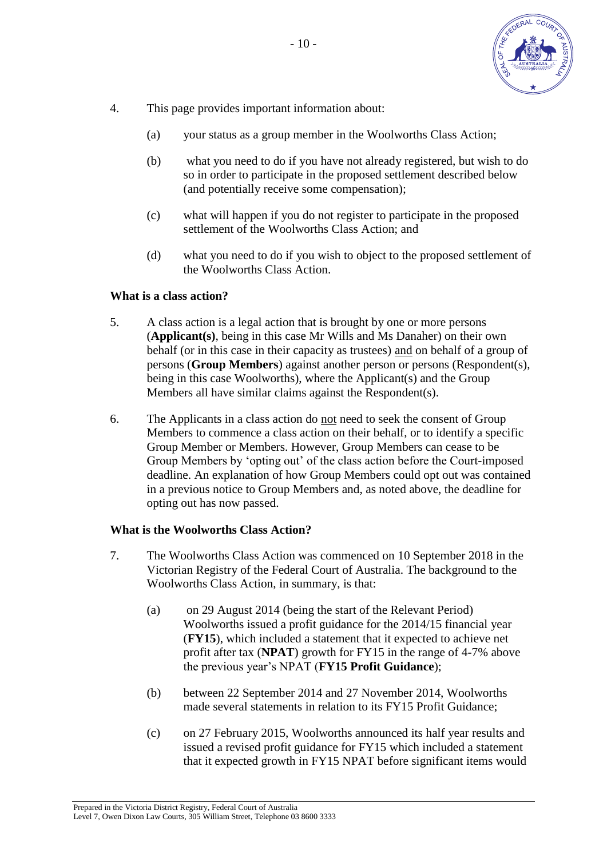

- 4. This page provides important information about:
	- (a) your status as a group member in the Woolworths Class Action;
	- (b) what you need to do if you have not already registered, but wish to do so in order to participate in the proposed settlement described below (and potentially receive some compensation);
	- (c) what will happen if you do not register to participate in the proposed settlement of the Woolworths Class Action; and
	- (d) what you need to do if you wish to object to the proposed settlement of the Woolworths Class Action.

#### **What is a class action?**

- 5. A class action is a legal action that is brought by one or more persons (**Applicant(s)**, being in this case Mr Wills and Ms Danaher) on their own behalf (or in this case in their capacity as trustees) and on behalf of a group of persons (**Group Members**) against another person or persons (Respondent(s), being in this case Woolworths), where the Applicant(s) and the Group Members all have similar claims against the Respondent(s).
- 6. The Applicants in a class action do not need to seek the consent of Group Members to commence a class action on their behalf, or to identify a specific Group Member or Members. However, Group Members can cease to be Group Members by 'opting out' of the class action before the Court-imposed deadline. An explanation of how Group Members could opt out was contained in a previous notice to Group Members and, as noted above, the deadline for opting out has now passed.

#### **What is the Woolworths Class Action?**

- 7. The Woolworths Class Action was commenced on 10 September 2018 in the Victorian Registry of the Federal Court of Australia. The background to the Woolworths Class Action, in summary, is that:
	- (a) on 29 August 2014 (being the start of the Relevant Period) Woolworths issued a profit guidance for the 2014/15 financial year (**FY15**), which included a statement that it expected to achieve net profit after tax (**NPAT**) growth for FY15 in the range of 4-7% above the previous year's NPAT (**FY15 Profit Guidance**);
	- (b) between 22 September 2014 and 27 November 2014, Woolworths made several statements in relation to its FY15 Profit Guidance;
	- (c) on 27 February 2015, Woolworths announced its half year results and issued a revised profit guidance for FY15 which included a statement that it expected growth in FY15 NPAT before significant items would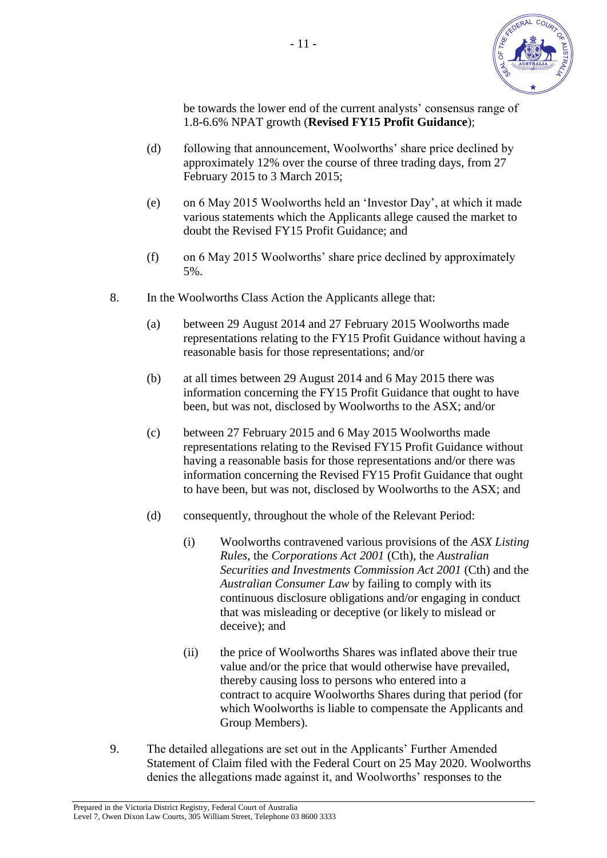

 be towards the lower end of the current analysts' consensus range of 1.8-6.6% NPAT growth (**Revised FY15 Profit Guidance**);

- (d) following that announcement, Woolworths' share price declined by approximately 12% over the course of three trading days, from 27 February 2015 to 3 March 2015;
- (e) on 6 May 2015 Woolworths held an 'Investor Day', at which it made various statements which the Applicants allege caused the market to doubt the Revised FY15 Profit Guidance; and
- (f) on 6 May 2015 Woolworths' share price declined by approximately 5%.
- 8. In the Woolworths Class Action the Applicants allege that:
	- (a) between 29 August 2014 and 27 February 2015 Woolworths made representations relating to the FY15 Profit Guidance without having a reasonable basis for those representations; and/or
	- (b) at all times between 29 August 2014 and 6 May 2015 there was information concerning the FY15 Profit Guidance that ought to have been, but was not, disclosed by Woolworths to the ASX; and/or
	- (c) between 27 February 2015 and 6 May 2015 Woolworths made representations relating to the Revised FY15 Profit Guidance without having a reasonable basis for those representations and/or there was information concerning the Revised FY15 Profit Guidance that ought to have been, but was not, disclosed by Woolworths to the ASX; and
	- (d) consequently, throughout the whole of the Relevant Period:
		- (i) Woolworths contravened various provisions of the *ASX Listing Rules*, the *Corporations Act 2001* (Cth), the *Australian Securities and Investments Commission Act 2001* (Cth) and the *Australian Consumer Law* by failing to comply with its continuous disclosure obligations and/or engaging in conduct that was misleading or deceptive (or likely to mislead or deceive); and
		- (ii) the price of Woolworths Shares was inflated above their true value and/or the price that would otherwise have prevailed, thereby causing loss to persons who entered into a contract to acquire Woolworths Shares during that period (for which Woolworths is liable to compensate the Applicants and Group Members).
- 9. The detailed allegations are set out in the Applicants' Further Amended Statement of Claim filed with the Federal Court on 25 May 2020. Woolworths denies the allegations made against it, and Woolworths' responses to the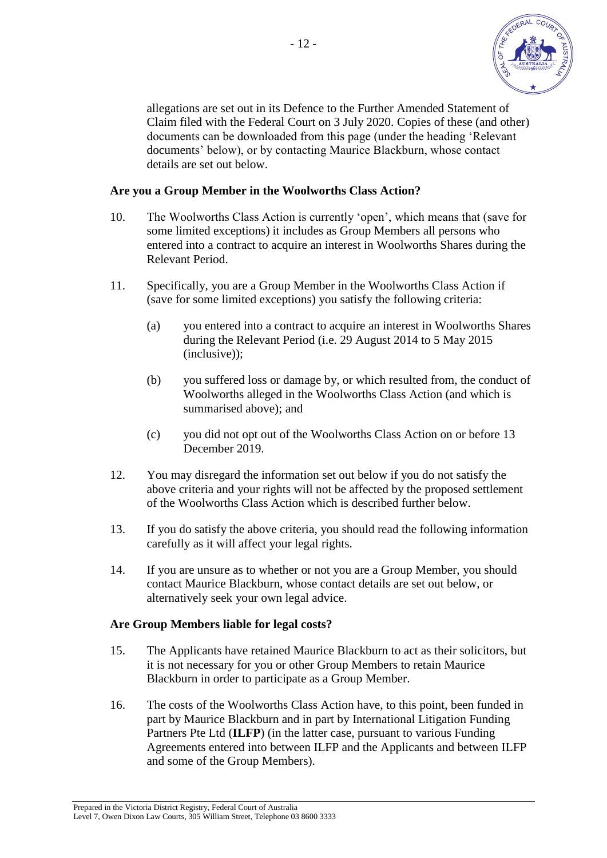

 allegations are set out in its Defence to the Further Amended Statement of Claim filed with the Federal Court on 3 July 2020. Copies of these (and other) documents can be downloaded from this page (under the heading 'Relevant documents' below), or by contacting Maurice Blackburn, whose contact details are set out below.

#### **Are you a Group Member in the Woolworths Class Action?**

- 10. The Woolworths Class Action is currently 'open', which means that (save for some limited exceptions) it includes as Group Members all persons who entered into a contract to acquire an interest in Woolworths Shares during the Relevant Period.
- 11. Specifically, you are a Group Member in the Woolworths Class Action if (save for some limited exceptions) you satisfy the following criteria:
	- (a) you entered into a contract to acquire an interest in Woolworths Shares during the Relevant Period (i.e. 29 August 2014 to 5 May 2015 (inclusive));
	- (b) you suffered loss or damage by, or which resulted from, the conduct of Woolworths alleged in the Woolworths Class Action (and which is summarised above); and
	- (c) you did not opt out of the Woolworths Class Action on or before 13 December 2019.
- 12. You may disregard the information set out below if you do not satisfy the above criteria and your rights will not be affected by the proposed settlement of the Woolworths Class Action which is described further below.
- 13. If you do satisfy the above criteria, you should read the following information carefully as it will affect your legal rights.
- 14. If you are unsure as to whether or not you are a Group Member, you should contact Maurice Blackburn, whose contact details are set out below, or alternatively seek your own legal advice.

#### **Are Group Members liable for legal costs?**

- 15. The Applicants have retained Maurice Blackburn to act as their solicitors, but it is not necessary for you or other Group Members to retain Maurice Blackburn in order to participate as a Group Member.
- 16. The costs of the Woolworths Class Action have, to this point, been funded in part by Maurice Blackburn and in part by International Litigation Funding Partners Pte Ltd (**ILFP**) (in the latter case, pursuant to various Funding Agreements entered into between ILFP and the Applicants and between ILFP and some of the Group Members).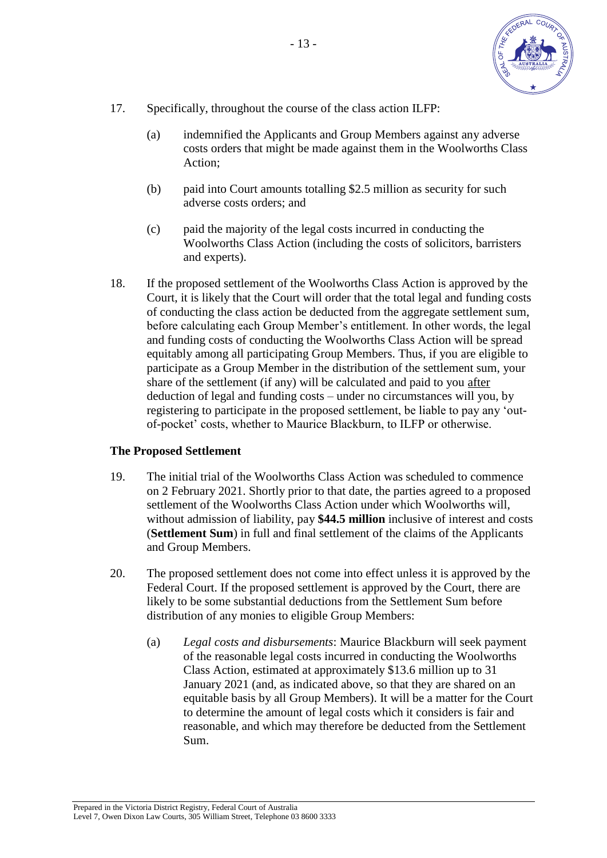

- 17. Specifically, throughout the course of the class action ILFP:
	- (a) indemnified the Applicants and Group Members against any adverse costs orders that might be made against them in the Woolworths Class Action;
	- (b) paid into Court amounts totalling \$2.5 million as security for such adverse costs orders; and
	- (c) paid the majority of the legal costs incurred in conducting the Woolworths Class Action (including the costs of solicitors, barristers and experts).
- 18. If the proposed settlement of the Woolworths Class Action is approved by the Court, it is likely that the Court will order that the total legal and funding costs of conducting the class action be deducted from the aggregate settlement sum, before calculating each Group Member's entitlement. In other words, the legal and funding costs of conducting the Woolworths Class Action will be spread equitably among all participating Group Members. Thus, if you are eligible to participate as a Group Member in the distribution of the settlement sum, your share of the settlement (if any) will be calculated and paid to you after deduction of legal and funding costs – under no circumstances will you, by registering to participate in the proposed settlement, be liable to pay any 'out of-pocket' costs, whether to Maurice Blackburn, to ILFP or otherwise.

# **The Proposed Settlement**

- 19. The initial trial of the Woolworths Class Action was scheduled to commence on 2 February 2021. Shortly prior to that date, the parties agreed to a proposed settlement of the Woolworths Class Action under which Woolworths will, without admission of liability, pay **\$44.5 million** inclusive of interest and costs (**Settlement Sum**) in full and final settlement of the claims of the Applicants and Group Members.
- 20. The proposed settlement does not come into effect unless it is approved by the Federal Court. If the proposed settlement is approved by the Court, there are likely to be some substantial deductions from the Settlement Sum before distribution of any monies to eligible Group Members:
	- (a) *Legal costs and disbursements*: Maurice Blackburn will seek payment of the reasonable legal costs incurred in conducting the Woolworths Class Action, estimated at approximately \$13.6 million up to 31 January 2021 (and, as indicated above, so that they are shared on an equitable basis by all Group Members). It will be a matter for the Court to determine the amount of legal costs which it considers is fair and reasonable, and which may therefore be deducted from the Settlement Sum.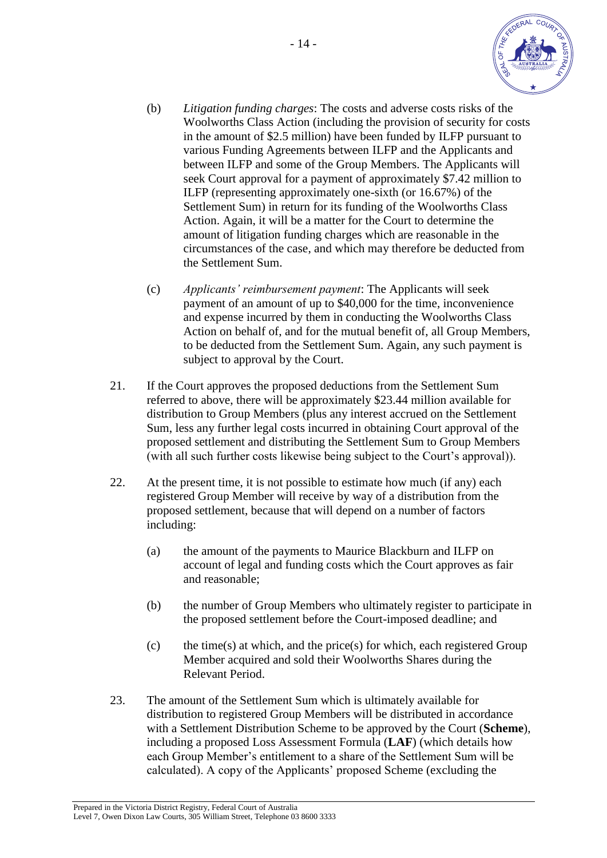

- (b) *Litigation funding charges*: The costs and adverse costs risks of the Woolworths Class Action (including the provision of security for costs in the amount of \$2.5 million) have been funded by ILFP pursuant to various Funding Agreements between ILFP and the Applicants and between ILFP and some of the Group Members. The Applicants will seek Court approval for a payment of approximately \$7.42 million to ILFP (representing approximately one-sixth (or 16.67%) of the Settlement Sum) in return for its funding of the Woolworths Class Action. Again, it will be a matter for the Court to determine the amount of litigation funding charges which are reasonable in the circumstances of the case, and which may therefore be deducted from the Settlement Sum.
- (c) *Applicants' reimbursement payment*: The Applicants will seek payment of an amount of up to \$40,000 for the time, inconvenience and expense incurred by them in conducting the Woolworths Class Action on behalf of, and for the mutual benefit of, all Group Members, to be deducted from the Settlement Sum. Again, any such payment is subject to approval by the Court.
- 21. If the Court approves the proposed deductions from the Settlement Sum referred to above, there will be approximately \$23.44 million available for distribution to Group Members (plus any interest accrued on the Settlement Sum, less any further legal costs incurred in obtaining Court approval of the proposed settlement and distributing the Settlement Sum to Group Members (with all such further costs likewise being subject to the Court's approval)).
- 22. At the present time, it is not possible to estimate how much (if any) each registered Group Member will receive by way of a distribution from the proposed settlement, because that will depend on a number of factors including:
	- (a) the amount of the payments to Maurice Blackburn and ILFP on account of legal and funding costs which the Court approves as fair and reasonable;
	- (b) the number of Group Members who ultimately register to participate in the proposed settlement before the Court-imposed deadline; and
	- (c) the time(s) at which, and the price(s) for which, each registered Group Member acquired and sold their Woolworths Shares during the Relevant Period.
- 23. The amount of the Settlement Sum which is ultimately available for distribution to registered Group Members will be distributed in accordance with a Settlement Distribution Scheme to be approved by the Court (**Scheme**), including a proposed Loss Assessment Formula (**LAF**) (which details how each Group Member's entitlement to a share of the Settlement Sum will be calculated). A copy of the Applicants' proposed Scheme (excluding the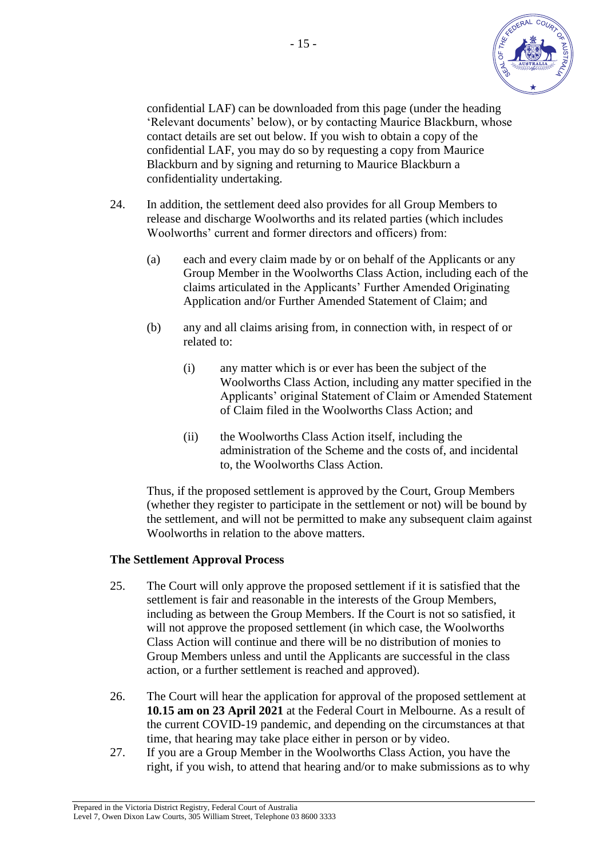

 confidential LAF) can be downloaded from this page (under the heading 'Relevant documents' below), or by contacting Maurice Blackburn, whose contact details are set out below. If you wish to obtain a copy of the confidential LAF, you may do so by requesting a copy from Maurice Blackburn and by signing and returning to Maurice Blackburn a confidentiality undertaking.

- 24. In addition, the settlement deed also provides for all Group Members to release and discharge Woolworths and its related parties (which includes Woolworths' current and former directors and officers) from:
	- (a) each and every claim made by or on behalf of the Applicants or any Group Member in the Woolworths Class Action, including each of the claims articulated in the Applicants' Further Amended Originating Application and/or Further Amended Statement of Claim; and
	- (b) any and all claims arising from, in connection with, in respect of or related to:
		- (i) any matter which is or ever has been the subject of the Woolworths Class Action, including any matter specified in the Applicants' original Statement of Claim or Amended Statement of Claim filed in the Woolworths Class Action; and
		- (ii) the Woolworths Class Action itself, including the administration of the Scheme and the costs of, and incidental to, the Woolworths Class Action.

 Thus, if the proposed settlement is approved by the Court, Group Members (whether they register to participate in the settlement or not) will be bound by the settlement, and will not be permitted to make any subsequent claim against Woolworths in relation to the above matters.

# **The Settlement Approval Process**

- 25. The Court will only approve the proposed settlement if it is satisfied that the settlement is fair and reasonable in the interests of the Group Members, including as between the Group Members. If the Court is not so satisfied, it will not approve the proposed settlement (in which case, the Woolworths Class Action will continue and there will be no distribution of monies to Group Members unless and until the Applicants are successful in the class action, or a further settlement is reached and approved).
- 26. The Court will hear the application for approval of the proposed settlement at **10.15 am on 23 April 2021** at the Federal Court in Melbourne. As a result of the current COVID-19 pandemic, and depending on the circumstances at that time, that hearing may take place either in person or by video.
- 27. If you are a Group Member in the Woolworths Class Action, you have the right, if you wish, to attend that hearing and/or to make submissions as to why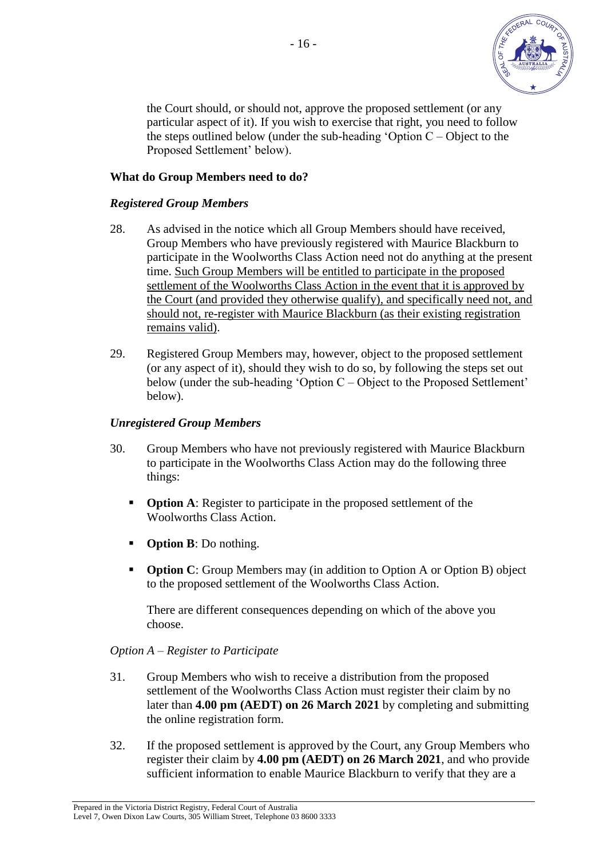

 the Court should, or should not, approve the proposed settlement (or any particular aspect of it). If you wish to exercise that right, you need to follow the steps outlined below (under the sub-heading 'Option  $C -$ Object to the Proposed Settlement' below).

# **What do Group Members need to do?**

# *Registered Group Members*

- 28. As advised in the notice which all Group Members should have received, Group Members who have previously registered with Maurice Blackburn to participate in the Woolworths Class Action need not do anything at the present time. Such Group Members will be entitled to participate in the proposed settlement of the Woolworths Class Action in the event that it is approved by the Court (and provided they otherwise qualify), and specifically need not, and should not, re-register with Maurice Blackburn (as their existing registration remains valid).
- 29. Registered Group Members may, however, object to the proposed settlement (or any aspect of it), should they wish to do so, by following the steps set out below (under the sub-heading 'Option C – Object to the Proposed Settlement' below).

#### *Unregistered Group Members*

- 30. Group Members who have not previously registered with Maurice Blackburn to participate in the Woolworths Class Action may do the following three things:
	- **Option A**: Register to participate in the proposed settlement of the Woolworths Class Action.
	- **Option B**: Do nothing.
	- **Option C**: Group Members may (in addition to Option A or Option B) object to the proposed settlement of the Woolworths Class Action.

 There are different consequences depending on which of the above you choose.

# *Option A – Register to Participate*

- 31. Group Members who wish to receive a distribution from the proposed settlement of the Woolworths Class Action must register their claim by no later than **4.00 pm (AEDT) on 26 March 2021** by completing and submitting the online registration form.
- 32. If the proposed settlement is approved by the Court, any Group Members who register their claim by **4.00 pm (AEDT) on 26 March 2021**, and who provide sufficient information to enable Maurice Blackburn to verify that they are a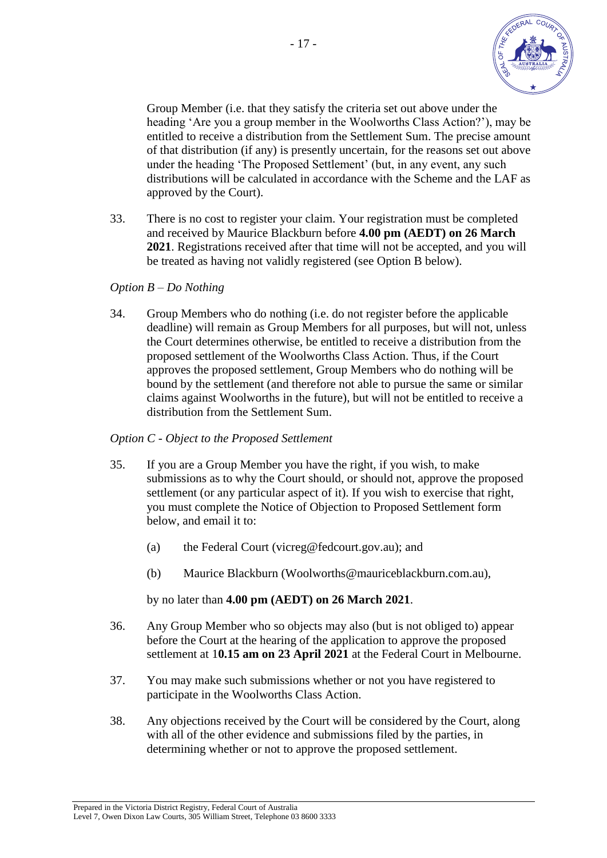

 Group Member (i.e. that they satisfy the criteria set out above under the heading 'Are you a group member in the Woolworths Class Action?'), may be entitled to receive a distribution from the Settlement Sum. The precise amount of that distribution (if any) is presently uncertain, for the reasons set out above under the heading 'The Proposed Settlement' (but, in any event, any such distributions will be calculated in accordance with the Scheme and the LAF as approved by the Court).

33. There is no cost to register your claim. Your registration must be completed and received by Maurice Blackburn before **4.00 pm (AEDT) on 26 March 2021**. Registrations received after that time will not be accepted, and you will be treated as having not validly registered (see Option B below).

#### *Option B – Do Nothing*

34. Group Members who do nothing (i.e. do not register before the applicable deadline) will remain as Group Members for all purposes, but will not, unless the Court determines otherwise, be entitled to receive a distribution from the proposed settlement of the Woolworths Class Action. Thus, if the Court approves the proposed settlement, Group Members who do nothing will be bound by the settlement (and therefore not able to pursue the same or similar claims against Woolworths in the future), but will not be entitled to receive a distribution from the Settlement Sum.

# *Option C - Object to the Proposed Settlement*

- 35. If you are a Group Member you have the right, if you wish, to make submissions as to why the Court should, or should not, approve the proposed settlement (or any particular aspect of it). If you wish to exercise that right, you must complete the Notice of Objection to Proposed Settlement form below, and email it to:
	- (a) the Federal Court (vicreg@fedcourt.gov.au); and
	- (b) Maurice Blackburn (Woolworths@mauriceblackburn.com.au),

by no later than **4.00 pm (AEDT) on 26 March 2021**.

- 36. Any Group Member who so objects may also (but is not obliged to) appear before the Court at the hearing of the application to approve the proposed settlement at 1**0.15 am on 23 April 2021** at the Federal Court in Melbourne.
- 37. You may make such submissions whether or not you have registered to participate in the Woolworths Class Action.
- 38. Any objections received by the Court will be considered by the Court, along with all of the other evidence and submissions filed by the parties, in determining whether or not to approve the proposed settlement.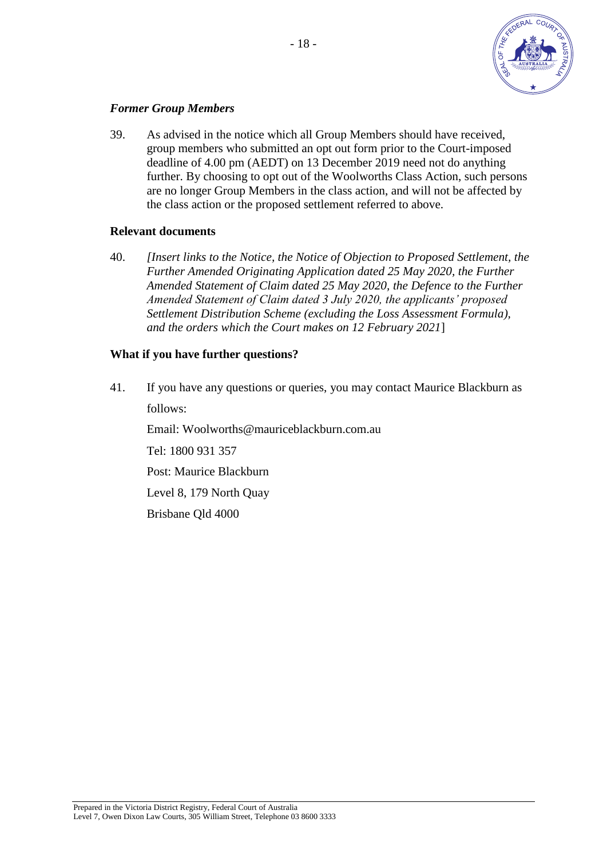

# *Former Group Members*

39. As advised in the notice which all Group Members should have received, group members who submitted an opt out form prior to the Court-imposed deadline of 4.00 pm (AEDT) on 13 December 2019 need not do anything further. By choosing to opt out of the Woolworths Class Action, such persons are no longer Group Members in the class action, and will not be affected by the class action or the proposed settlement referred to above.

# **Relevant documents**

40. *[Insert links to the Notice, the Notice of Objection to Proposed Settlement, the Further Amended Originating Application dated 25 May 2020, the Further Amended Statement of Claim dated 25 May 2020, the Defence to the Further Amended Statement of Claim dated 3 July 2020, the applicants' proposed Settlement Distribution Scheme (excluding the Loss Assessment Formula), and the orders which the Court makes on 12 February 2021*]

# **What if you have further questions?**

41. If you have any questions or queries, you may contact Maurice Blackburn as follows:

 Email: Woolworths@mauriceblackburn.com.au Tel: 1800 931 357 Post: Maurice Blackburn Level 8, 179 North Quay Brisbane Qld 4000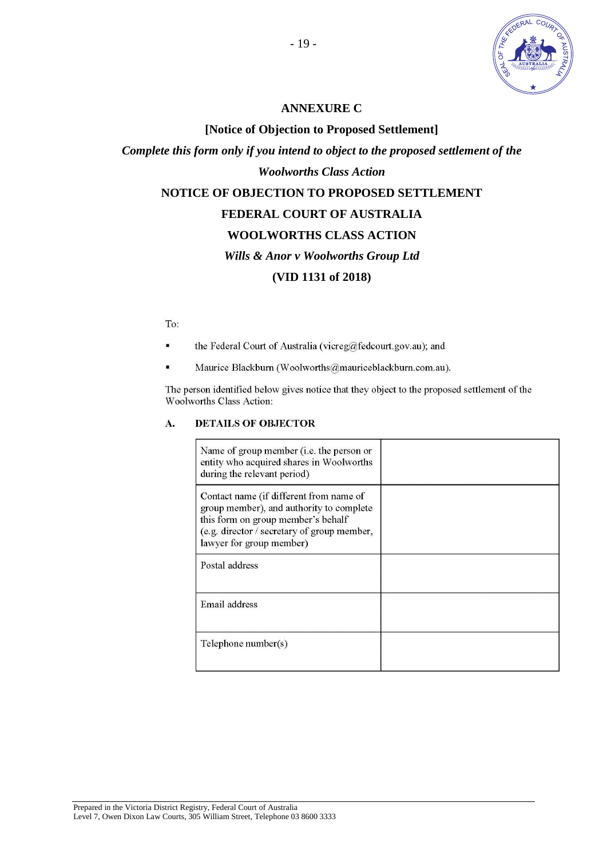

# **ANNEXURE C**

**[Notice of Objection to Proposed Settlement]** 

*Complete this form only if you intend to object to the proposed settlement of the Woolworths Class Action* 

# **NOTICE OF OBJECTION TO PROPOSED SETTLEMENT**

# **FEDERAL COURT OF AUSTRALIA**

# **WOOLWORTHS CLASS ACTION**

#### *Wills & Anor v Woolworths Group Ltd*

# **(VID 1131 of 2018)**

#### To:

- the Federal Court of Australia (vicreg@fedcourt.gov.au); and ٠
- Maurice Blackburn (Woolworths@mauriceblackburn.com.au).

The person identified below gives notice that they object to the proposed settlement of the Woolworths Class Action:

#### **DETAILS OF OBJECTOR** A.

| Name of group member ( <i>i.e.</i> the person or<br>entity who acquired shares in Woolworths<br>during the relevant period)                                                                          |  |
|------------------------------------------------------------------------------------------------------------------------------------------------------------------------------------------------------|--|
| Contact name (if different from name of<br>group member), and authority to complete<br>this form on group member's behalf<br>(e.g. director / secretary of group member,<br>lawyer for group member) |  |
| Postal address                                                                                                                                                                                       |  |
| Email address                                                                                                                                                                                        |  |
| Telephone number(s)                                                                                                                                                                                  |  |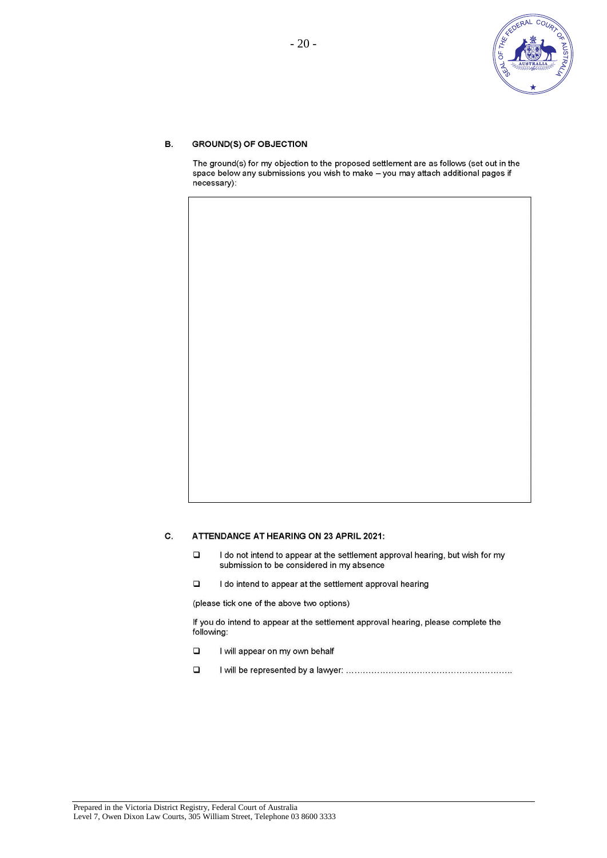

#### **GROUND(S) OF OBJECTION**  $B.$

The ground(s) for my objection to the proposed settlement are as follows (set out in the space below any submissions you wish to make - you may attach additional pages if necessary):

#### C. **ATTENDANCE AT HEARING ON 23 APRIL 2021:**

- I do not intend to appear at the settlement approval hearing, but wish for my  $\square$ submission to be considered in my absence
- $\Box$ I do intend to appear at the settlement approval hearing

(please tick one of the above two options)

If you do intend to appear at the settlement approval hearing, please complete the following:

- $\Box$ I will appear on my own behalf
- $\Box$